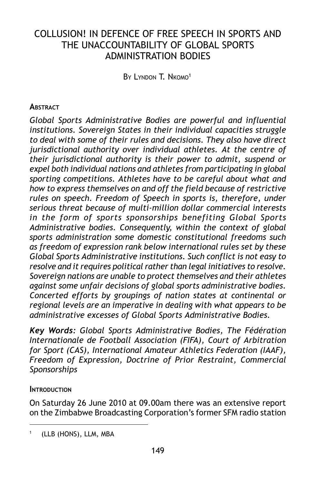# COLLUSION! IN DEFENCE OF FREE SPEECH IN SPORTS AND THE UNACCOUNTABILITY OF GLOBAL SPORTS ADMINISTRATION BODIES

BY LYNDON T. NKOMO<sup>1</sup>

### **ABSTRACT**

*Global Sports Administrative Bodies are powerful and influential institutions. Sovereign States in their individual capacities struggle to deal with some of their rules and decisions. They also have direct jurisdictional authority over individual athletes. At the centre of their jurisdictional authority is their power to admit, suspend or expel both individual nations and athletes from participating in global sporting competitions. Athletes have to be careful about what and how to express themselves on and off the field because of restrictive rules on speech. Freedom of Speech in sports is, therefore, under serious threat because of multi-million dollar commercial interests in the form of sports sponsorships benefiting Global Sports Administrative bodies. Consequently, within the context of global sports administration some domestic constitutional freedoms such as freedom of expression rank below international rules set by these Global Sports Administrative institutions. Such conflict is not easy to resolve and it requires political rather than legal initiatives to resolve. Sovereign nations are unable to protect themselves and their athletes against some unfair decisions of global sports administrative bodies. Concerted efforts by groupings of nation states at continental or regional levels are an imperative in dealing with what appears to be administrative excesses of Global Sports Administrative Bodies.*

*Key Words: Global Sports Administrative Bodies, The Fédération Internationale de Football Association (FIFA), Court of Arbitration for Sport (CAS), International Amateur Athletics Federation (IAAF), Freedom of Expression, Doctrine of Prior Restraint, Commercial Sponsorships*

### **INTRODUCTION**

On Saturday 26 June 2010 at 09.00am there was an extensive report on the Zimbabwe Broadcasting Corporation's former SFM radio station

<sup>(</sup>LLB (HONS), LLM, MBA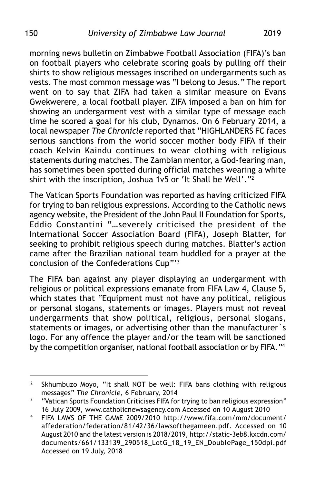morning news bulletin on Zimbabwe Football Association (FIFA)'s ban on football players who celebrate scoring goals by pulling off their shirts to show religious messages inscribed on undergarments such as vests. The most common message was "I belong to Jesus." The report went on to say that ZIFA had taken a similar measure on Evans Gwekwerere, a local football player. ZIFA imposed a ban on him for showing an undergarment vest with a similar type of message each time he scored a goal for his club, Dynamos. On 6 February 2014, a local newspaper *The Chronicle* reported that "HIGHLANDERS FC faces serious sanctions from the world soccer mother body FIFA if their coach Kelvin Kaindu continues to wear clothing with religious statements during matches. The Zambian mentor, a God-fearing man, has sometimes been spotted during official matches wearing a white shirt with the inscription, Joshua 1v5 or 'It Shall be Well'. $"^2$ 

The Vatican Sports Foundation was reported as having criticized FIFA for trying to ban religious expressions. According to the Catholic news agency website, the President of the John Paul II Foundation for Sports, Eddio Constantini "…severely criticised the president of the International Soccer Association Board (FIFA), Joseph Blatter, for seeking to prohibit religious speech during matches. Blatter's action came after the Brazilian national team huddled for a prayer at the conclusion of the Confederations Cup"'3

The FIFA ban against any player displaying an undergarment with religious or political expressions emanate from FIFA Law 4, Clause 5, which states that "Equipment must not have any political, religious or personal slogans, statements or images. Players must not reveal undergarments that show political, religious, personal slogans, statements or images, or advertising other than the manufacturer`s logo. For any offence the player and/or the team will be sanctioned by the competition organiser, national football association or by FIFA."4

<sup>&</sup>lt;sup>2</sup> Skhumbuzo Moyo, "It shall NOT be well: FIFA bans clothing with religious messages" *The Chronicle*, 6 February, 2014

<sup>3</sup> "Vatican Sports Foundation Criticises FIFA for trying to ban religious expression" 16 July 2009, www.catholicnewsagency.com Accessed on 10 August 2010

<sup>4</sup> FIFA LAWS OF THE GAME 2009/2010 http://www.fifa.com/mm/document/ affederation/federation/81/42/36/lawsofthegameen.pdf. Accessed on 10 August 2010 and the latest version is 2018/2019, http://static-3eb8.kxcdn.com/ documents/661/133139\_290518\_LotG\_18\_19\_EN\_DoublePage\_150dpi.pdf Accessed on 19 July, 2018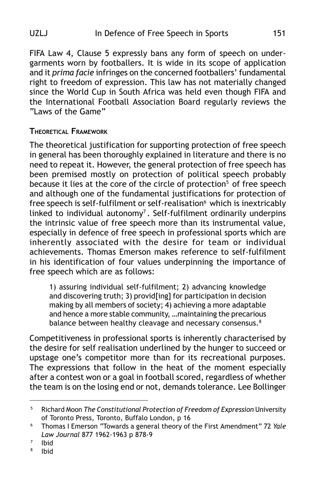FIFA Law 4, Clause 5 expressly bans any form of speech on undergarments worn by footballers. It is wide in its scope of application and it *prima facie* infringes on the concerned footballers' fundamental right to freedom of expression. This law has not materially changed since the World Cup in South Africa was held even though FIFA and the International Football Association Board regularly reviews the "Laws of the Game"

### **THEORETICAL FRAMEWORK**

The theoretical justification for supporting protection of free speech in general has been thoroughly explained in literature and there is no need to repeat it. However, the general protection of free speech has been premised mostly on protection of political speech probably because it lies at the core of the circle of protection<sup>5</sup> of free speech and although one of the fundamental justifications for protection of free speech is self-fulfilment or self-realisation<sup>6</sup> which is inextricably linked to individual autonomy7 . Self-fulfilment ordinarily underpins the intrinsic value of free speech more than its instrumental value, especially in defence of free speech in professional sports which are inherently associated with the desire for team or individual achievements. Thomas Emerson makes reference to self-fulfilment in his identification of four values underpinning the importance of free speech which are as follows:

1) assuring individual self-fulfilment; 2) advancing knowledge and discovering truth; 3) provid[ing] for participation in decision making by all members of society; 4) achieving a more adaptable and hence a more stable community, …maintaining the precarious balance between healthy cleavage and necessary consensus.<sup>8</sup>

Competitiveness in professional sports is inherently characterised by the desire for self realisation underlined by the hunger to succeed or upstage one's competitor more than for its recreational purposes. The expressions that follow in the heat of the moment especially after a contest won or a goal in football scored, regardless of whether the team is on the losing end or not, demands tolerance. Lee Bollinger

<sup>8</sup> Ibid

<sup>5</sup> Richard Moon *The Constitutional Protection of Freedom of Expression* University of Toronto Press, Toronto, Buffalo London, p 16

<sup>6</sup> Thomas I Emerson "Towards a general theory of the First Amendment" 72 *Yale Law Journal* 877 1962-1963 p 878-9

<sup>7</sup> Ibid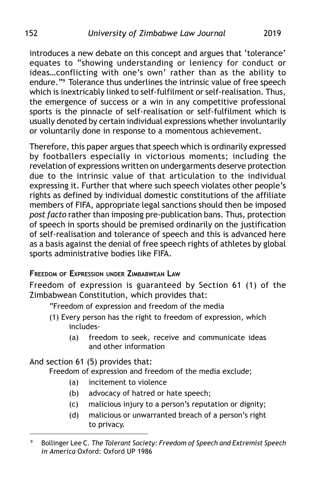introduces a new debate on this concept and argues that 'tolerance' equates to "showing understanding or leniency for conduct or ideas…conflicting with one's own' rather than as the ability to endure."9 Tolerance thus underlines the intrinsic value of free speech which is inextricably linked to self-fulfilment or self-realisation. Thus, the emergence of success or a win in any competitive professional sports is the pinnacle of self-realisation or self-fulfilment which is usually denoted by certain individual expressions whether involuntarily or voluntarily done in response to a momentous achievement.

Therefore, this paper argues that speech which is ordinarily expressed by footballers especially in victorious moments; including the revelation of expressions written on undergarments deserve protection due to the intrinsic value of that articulation to the individual expressing it. Further that where such speech violates other people's rights as defined by individual domestic constitutions of the affiliate members of FIFA, appropriate legal sanctions should then be imposed *post facto* rather than imposing pre-publication bans. Thus, protection of speech in sports should be premised ordinarily on the justification of self-realisation and tolerance of speech and this is advanced here as a basis against the denial of free speech rights of athletes by global sports administrative bodies like FIFA.

# **FREEDOM OF EXPRESSION UNDER ZIMBABWEAN LAW**

Freedom of expression is guaranteed by Section 61 (1) of the Zimbabwean Constitution, which provides that:

"Freedom of expression and freedom of the media

- (1) Every person has the right to freedom of expression, which includes-
	- (a) freedom to seek, receive and communicate ideas and other information

And section 61 (5) provides that:

Freedom of expression and freedom of the media exclude;

- (a) incitement to violence
- (b) advocacy of hatred or hate speech;
- (c) malicious injury to a person's reputation or dignity;
- (d) malicious or unwarranted breach of a person's right to privacy.

<sup>9</sup> Bollinger Lee C. *The Tolerant Society: Freedom of Speech and Extremist Speech in America* Oxford: Oxford UP 1986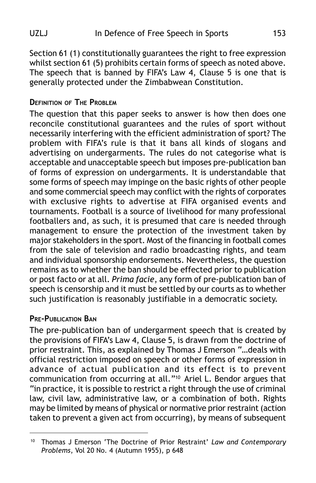Section 61 (1) constitutionally guarantees the right to free expression whilst section 61 (5) prohibits certain forms of speech as noted above. The speech that is banned by FIFA's Law 4, Clause 5 is one that is generally protected under the Zimbabwean Constitution.

# **DEFINITION OF THE PROBLEM**

The question that this paper seeks to answer is how then does one reconcile constitutional guarantees and the rules of sport without necessarily interfering with the efficient administration of sport? The problem with FIFA's rule is that it bans all kinds of slogans and advertising on undergarments. The rules do not categorise what is acceptable and unacceptable speech but imposes pre-publication ban of forms of expression on undergarments. It is understandable that some forms of speech may impinge on the basic rights of other people and some commercial speech may conflict with the rights of corporates with exclusive rights to advertise at FIFA organised events and tournaments. Football is a source of livelihood for many professional footballers and, as such, it is presumed that care is needed through management to ensure the protection of the investment taken by major stakeholders in the sport. Most of the financing in football comes from the sale of television and radio broadcasting rights, and team and individual sponsorship endorsements. Nevertheless, the question remains as to whether the ban should be effected prior to publication or post facto or at all. *Prima facie*, any form of pre-publication ban of speech is censorship and it must be settled by our courts as to whether such justification is reasonably justifiable in a democratic society.

# **PRE-PUBLICATION BAN**

The pre-publication ban of undergarment speech that is created by the provisions of FIFA's Law 4, Clause 5, is drawn from the doctrine of prior restraint. This, as explained by Thomas J Emerson "…deals with official restriction imposed on speech or other forms of expression in advance of actual publication and its effect is to prevent communication from occurring at all."10 Ariel L. Bendor argues that "in practice, it is possible to restrict a right through the use of criminal law, civil law, administrative law, or a combination of both. Rights may be limited by means of physical or normative prior restraint (action taken to prevent a given act from occurring), by means of subsequent

<sup>10</sup> Thomas J Emerson 'The Doctrine of Prior Restraint' *Law and Contemporary Problems*, Vol 20 No. 4 (Autumn 1955), p 648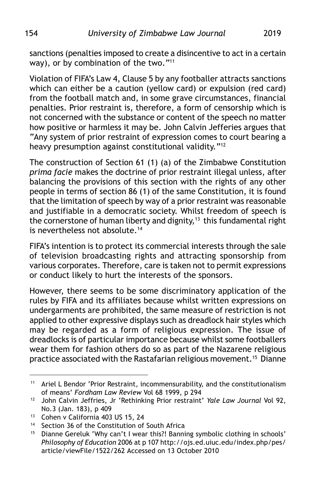sanctions (penalties imposed to create a disincentive to act in a certain way), or by combination of the two."<sup>11</sup>

Violation of FIFA's Law 4, Clause 5 by any footballer attracts sanctions which can either be a caution (yellow card) or expulsion (red card) from the football match and, in some grave circumstances, financial penalties. Prior restraint is, therefore, a form of censorship which is not concerned with the substance or content of the speech no matter how positive or harmless it may be. John Calvin Jefferies argues that "Any system of prior restraint of expression comes to court bearing a heavy presumption against constitutional validity."<sup>12</sup>

The construction of Section 61 (1) (a) of the Zimbabwe Constitution *prima facie* makes the doctrine of prior restraint illegal unless, after balancing the provisions of this section with the rights of any other people in terms of section 86 (1) of the same Constitution, it is found that the limitation of speech by way of a prior restraint was reasonable and justifiable in a democratic society. Whilst freedom of speech is the cornerstone of human liberty and dignity,<sup>13</sup> this fundamental right is nevertheless not absolute.<sup>14</sup>

FIFA's intention is to protect its commercial interests through the sale of television broadcasting rights and attracting sponsorship from various corporates. Therefore, care is taken not to permit expressions or conduct likely to hurt the interests of the sponsors.

However, there seems to be some discriminatory application of the rules by FIFA and its affiliates because whilst written expressions on undergarments are prohibited, the same measure of restriction is not applied to other expressive displays such as dreadlock hair styles which may be regarded as a form of religious expression. The issue of dreadlocks is of particular importance because whilst some footballers wear them for fashion others do so as part of the Nazarene religious practice associated with the Rastafarian religious movement.15 Dianne

<sup>&</sup>lt;sup>11</sup> Ariel L Bendor 'Prior Restraint, incommensurability, and the constitutionalism of means' *Fordham Law Review* Vol 68 1999, p 294

<sup>12</sup> John Calvin Jeffries, Jr 'Rethinking Prior restraint' *Yale Law Journal* Vol 92, No.3 (Jan. 183), p 409

<sup>13</sup> Cohen v California 403 US 15, 24

<sup>&</sup>lt;sup>14</sup> Section 36 of the Constitution of South Africa

<sup>&</sup>lt;sup>15</sup> Dianne Gereluk 'Why can't I wear this?! Banning symbolic clothing in schools' *Philosophy of Education* 2006 at p 107 http://ojs.ed.uiuc.edu/index.php/pes/ article/viewFile/1522/262 Accessed on 13 October 2010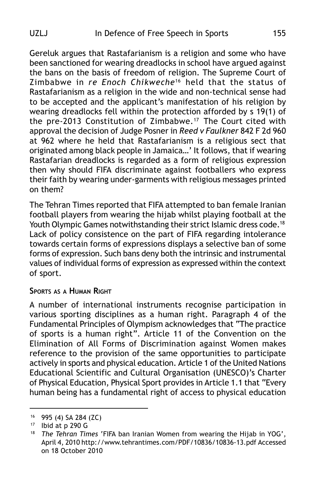Gereluk argues that Rastafarianism is a religion and some who have been sanctioned for wearing dreadlocks in school have argued against the bans on the basis of freedom of religion. The Supreme Court of Zimbabwe in *re Enoch Chikweche*<sup>16</sup> held that the status of Rastafarianism as a religion in the wide and non-technical sense had to be accepted and the applicant's manifestation of his religion by wearing dreadlocks fell within the protection afforded by s 19(1) of the pre-2013 Constitution of Zimbabwe.17 The Court cited with approval the decision of Judge Posner in *Reed v Faulkner* 842 F 2d 960 at 962 where he held that Rastafarianism is a religious sect that originated among black people in Jamaica…' It follows, that if wearing Rastafarian dreadlocks is regarded as a form of religious expression then why should FIFA discriminate against footballers who express their faith by wearing under-garments with religious messages printed on them?

The Tehran Times reported that FIFA attempted to ban female Iranian football players from wearing the hijab whilst playing football at the Youth Olympic Games notwithstanding their strict Islamic dress code.<sup>18</sup> Lack of policy consistence on the part of FIFA regarding intolerance towards certain forms of expressions displays a selective ban of some forms of expression. Such bans deny both the intrinsic and instrumental values of individual forms of expression as expressed within the context of sport.

### **SPORTS AS A HUMAN RIGHT**

A number of international instruments recognise participation in various sporting disciplines as a human right. Paragraph 4 of the Fundamental Principles of Olympism acknowledges that "The practice of sports is a human right". Article 11 of the Convention on the Elimination of All Forms of Discrimination against Women makes reference to the provision of the same opportunities to participate actively in sports and physical education. Article 1 of the United Nations Educational Scientific and Cultural Organisation (UNESCO)'s Charter of Physical Education, Physical Sport provides in Article 1.1 that "Every human being has a fundamental right of access to physical education

<sup>16</sup> 995 (4) SA 284 (ZC)

 $17$  Ibid at p 290 G

<sup>18</sup> *The Tehran Times* 'FIFA ban Iranian Women from wearing the Hijab in YOG', April 4, 2010 http://www.tehrantimes.com/PDF/10836/10836-13.pdf Accessed on 18 October 2010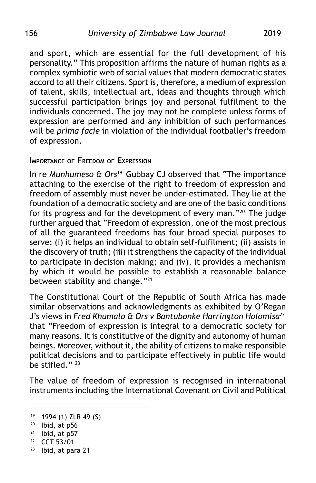and sport, which are essential for the full development of his personality." This proposition affirms the nature of human rights as a complex symbiotic web of social values that modern democratic states accord to all their citizens. Sport is, therefore, a medium of expression of talent, skills, intellectual art, ideas and thoughts through which successful participation brings joy and personal fulfilment to the individuals concerned. The joy may not be complete unless forms of expression are performed and any inhibition of such performances will be *prima facie* in violation of the individual footballer's freedom of expression.

#### **IMPORTANCE OF FREEDOM OF EXPRESSION**

In re *Munhumeso & Ors*<sup>19</sup> Gubbay CJ observed that "The importance attaching to the exercise of the right to freedom of expression and freedom of assembly must never be under-estimated. They lie at the foundation of a democratic society and are one of the basic conditions for its progress and for the development of every man."20 The judge further argued that "Freedom of expression, one of the most precious of all the guaranteed freedoms has four broad special purposes to serve; (i) it helps an individual to obtain self-fulfilment; (ii) assists in the discovery of truth; (iii) it strengthens the capacity of the individual to participate in decision making; and (iv), it provides a mechanism by which it would be possible to establish a reasonable balance between stability and change."<sup>21</sup>

The Constitutional Court of the Republic of South Africa has made similar observations and acknowledgments as exhibited by O'Regan J's views in *Fred Khumalo & Ors v Bantubonke Harrington Holomisa*<sup>22</sup> that "Freedom of expression is integral to a democratic society for many reasons. It is constitutive of the dignity and autonomy of human beings. Moreover, without it, the ability of citizens to make responsible political decisions and to participate effectively in public life would be stifled." $^{23}$ 

The value of freedom of expression is recognised in international instruments including the International Covenant on Civil and Political

- <sup>22</sup> CCT 53/01
- <sup>23</sup> Ibid, at para 21

<sup>19</sup> 1994 (1) ZLR 49 (S)

<sup>20</sup> Ibid, at p56

 $21$  Ibid, at p57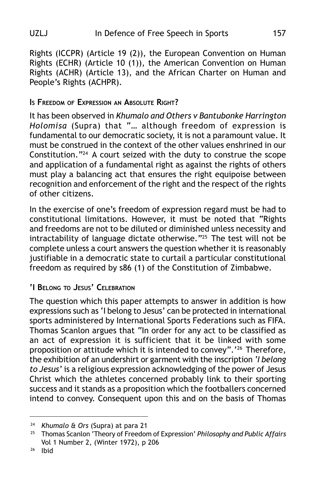Rights (ICCPR) (Article 19 (2)), the European Convention on Human Rights (ECHR) (Article 10 (1)), the American Convention on Human Rights (ACHR) (Article 13), and the African Charter on Human and People's Rights (ACHPR).

# **IS FREEDOM OF EXPRESSION AN ABSOLUTE RIGHT?**

It has been observed in *Khumalo and Others v Bantubonke Harrington Holomisa* (Supra) that "… although freedom of expression is fundamental to our democratic society, it is not a paramount value. It must be construed in the context of the other values enshrined in our Constitution."24 A court seized with the duty to construe the scope and application of a fundamental right as against the rights of others must play a balancing act that ensures the right equipoise between recognition and enforcement of the right and the respect of the rights of other citizens.

In the exercise of one's freedom of expression regard must be had to constitutional limitations. However, it must be noted that "Rights and freedoms are not to be diluted or diminished unless necessity and intractability of language dictate otherwise."25 The test will not be complete unless a court answers the question whether it is reasonably justifiable in a democratic state to curtail a particular constitutional freedom as required by s86 (1) of the Constitution of Zimbabwe.

# **'I BELONG TO JESUS' CELEBRATION**

The question which this paper attempts to answer in addition is how expressions such as 'I belong to Jesus' can be protected in international sports administered by International Sports Federations such as FIFA. Thomas Scanlon argues that "In order for any act to be classified as an act of expression it is sufficient that it be linked with some proposition or attitude which it is intended to convey".'26 Therefore, the exhibition of an undershirt or garment with the inscription *'I belong to Jesus'* is a religious expression acknowledging of the power of Jesus Christ which the athletes concerned probably link to their sporting success and it stands as a proposition which the footballers concerned intend to convey. Consequent upon this and on the basis of Thomas

<sup>24</sup> *Khumalo & Ors* (Supra) at para 21

<sup>25</sup> Thomas Scanlon 'Theory of Freedom of Expression' *Philosophy and Public Affairs* Vol 1 Number 2, (Winter 1972), p 206

<sup>26</sup> Ibid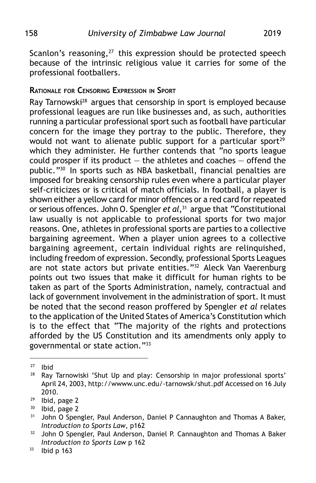Scanlon's reasoning, $27$  this expression should be protected speech because of the intrinsic religious value it carries for some of the professional footballers.

### **RATIONALE FOR CENSORING EXPRESSION IN SPORT**

Ray Tarnowski<sup>28</sup> argues that censorship in sport is employed because professional leagues are run like businesses and, as such, authorities running a particular professional sport such as football have particular concern for the image they portray to the public. Therefore, they would not want to alienate public support for a particular sport<sup>29</sup> which they administer. He further contends that "no sports league could prosper if its product  $-$  the athletes and coaches  $-$  offend the public."30 In sports such as NBA basketball, financial penalties are imposed for breaking censorship rules even where a particular player self-criticizes or is critical of match officials. In football, a player is shown either a yellow card for minor offences or a red card for repeated or serious offences. John O. Spengler *et al*,<sup>31</sup> argue that "Constitutional law usually is not applicable to professional sports for two major reasons. One, athletes in professional sports are parties to a collective bargaining agreement. When a player union agrees to a collective bargaining agreement, certain individual rights are relinquished, including freedom of expression. Secondly, professional Sports Leagues are not state actors but private entities."32 Aleck Van Vaerenburg points out two issues that make it difficult for human rights to be taken as part of the Sports Administration, namely, contractual and lack of government involvement in the administration of sport. It must be noted that the second reason proffered by Spengler *et al* relates to the application of the United States of America's Constitution which is to the effect that "The majority of the rights and protections afforded by the US Constitution and its amendments only apply to governmental or state action."33

 $27$  Ibid<br> $28$  Ray

Ray Tarnowiski 'Shut Up and play: Censorship in major professional sports' April 24, 2003, http://wwww.unc.edu/-tarnowsk/shut.pdf Accessed on 16 July 2010.

 $29$  Ibid, page 2<br> $20$  Ibid page 2

Ibid, page 2

<sup>&</sup>lt;sup>31</sup> John O Spengler, Paul Anderson, Daniel P Cannaughton and Thomas A Baker, *Introduction to Sports Law*, p162

<sup>&</sup>lt;sup>32</sup> John O Spengler, Paul Anderson, Daniel P. Cannaughton and Thomas A Baker *Introduction to Sports Law* p 162

 $33$  Ibid p 163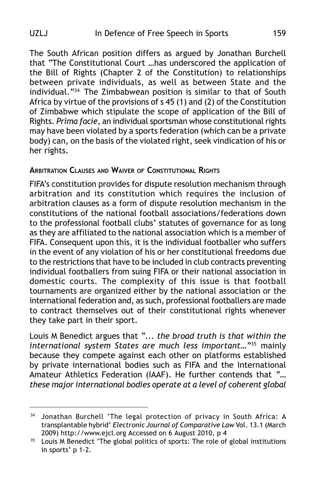The South African position differs as argued by Jonathan Burchell that "The Constitutional Court …has underscored the application of the Bill of Rights (Chapter 2 of the Constitution) to relationships between private individuals, as well as between State and the individual."34 The Zimbabwean position is similar to that of South Africa by virtue of the provisions of s 45 (1) and (2) of the Constitution of Zimbabwe which stipulate the scope of application of the Bill of Rights. *Prima facie*, an individual sportsman whose constitutional rights may have been violated by a sports federation (which can be a private body) can, on the basis of the violated right, seek vindication of his or her rights.

## **ARBITRATION CLAUSES AND WAIVER OF CONSTITUTIONAL RIGHTS**

FIFA's constitution provides for dispute resolution mechanism through arbitration and its constitution which requires the inclusion of arbitration clauses as a form of dispute resolution mechanism in the constitutions of the national football associations/federations down to the professional football clubs' statutes of governance for as long as they are affiliated to the national association which is a member of FIFA. Consequent upon this, it is the individual footballer who suffers in the event of any violation of his or her constitutional freedoms due to the restrictions that have to be included in club contracts preventing individual footballers from suing FIFA or their national association in domestic courts. The complexity of this issue is that football tournaments are organized either by the national association or the international federation and, as such, professional footballers are made to contract themselves out of their constitutional rights whenever they take part in their sport.

Louis M Benedict argues that *"... the broad truth is that within the international system States are much less important…"*35 mainly because they compete against each other on platforms established by private international bodies such as FIFA and the International Amateur Athletics Federation (IAAF). He further contends that *"… these major international bodies operate at a level of coherent global*

<sup>&</sup>lt;sup>34</sup> Jonathan Burchell 'The legal protection of privacy in South Africa: A transplantable hybrid' *Electronic Journal of Comparative Law* Vol. 13.1 (March 2009) http://www.ejcl.org Accessed on 6 August 2010, p 4

<sup>&</sup>lt;sup>35</sup> Louis M Benedict 'The global politics of sports: The role of global institutions in sports' p 1-2.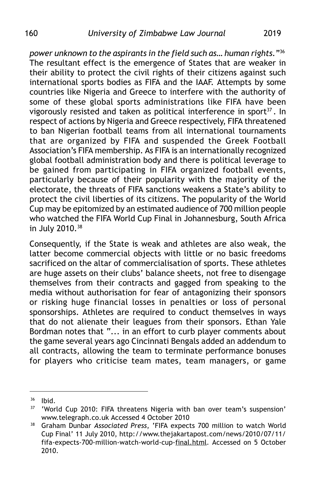*power unknown to the aspirants in the field such as… human rights."*<sup>36</sup> The resultant effect is the emergence of States that are weaker in their ability to protect the civil rights of their citizens against such international sports bodies as FIFA and the IAAF. Attempts by some countries like Nigeria and Greece to interfere with the authority of some of these global sports administrations like FIFA have been vigorously resisted and taken as political interference in sport $37$ . In respect of actions by Nigeria and Greece respectively, FIFA threatened to ban Nigerian football teams from all international tournaments that are organized by FIFA and suspended the Greek Football Association's FIFA membership. As FIFA is an internationally recognized global football administration body and there is political leverage to be gained from participating in FIFA organized football events, particularly because of their popularity with the majority of the electorate, the threats of FIFA sanctions weakens a State's ability to protect the civil liberties of its citizens. The popularity of the World Cup may be epitomized by an estimated audience of 700 million people who watched the FIFA World Cup Final in Johannesburg, South Africa in July 2010.38

Consequently, if the State is weak and athletes are also weak, the latter become commercial objects with little or no basic freedoms sacrificed on the altar of commercialisation of sports. These athletes are huge assets on their clubs' balance sheets, not free to disengage themselves from their contracts and gagged from speaking to the media without authorisation for fear of antagonizing their sponsors or risking huge financial losses in penalties or loss of personal sponsorships. Athletes are required to conduct themselves in ways that do not alienate their leagues from their sponsors. Ethan Yale Bordman notes that "... in an effort to curb player comments about the game several years ago Cincinnati Bengals added an addendum to all contracts, allowing the team to terminate performance bonuses for players who criticise team mates, team managers, or game

 $36$  Ibid.<br> $37$   $^{1}$ Mor

<sup>&#</sup>x27;World Cup 2010: FIFA threatens Nigeria with ban over team's suspension' www.telegraph.co.uk Accessed 4 October 2010

<sup>38</sup> Graham Dunbar *Associated Press*, 'FIFA expects 700 million to watch World Cup Final' 11 July 2010, http://www.thejakartapost.com/news/2010/07/11/ fifa-expects-700-million-watch-world-cup-final.html. Accessed on 5 October 2010.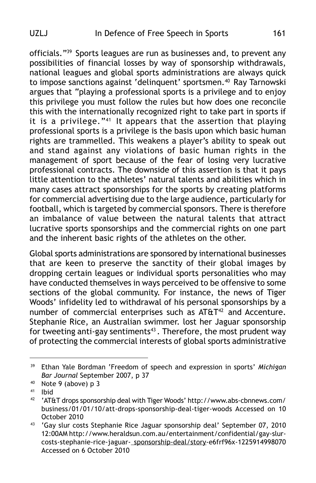officials."39 Sports leagues are run as businesses and, to prevent any possibilities of financial losses by way of sponsorship withdrawals, national leagues and global sports administrations are always quick to impose sanctions against 'delinquent' sportsmen.<sup>40</sup> Ray Tarnowski argues that "playing a professional sports is a privilege and to enjoy this privilege you must follow the rules but how does one reconcile this with the internationally recognized right to take part in sports if it is a privilege."41 It appears that the assertion that playing professional sports is a privilege is the basis upon which basic human rights are trammelled. This weakens a player's ability to speak out and stand against any violations of basic human rights in the management of sport because of the fear of losing very lucrative professional contracts. The downside of this assertion is that it pays little attention to the athletes' natural talents and abilities which in many cases attract sponsorships for the sports by creating platforms for commercial advertising due to the large audience, particularly for football, which is targeted by commercial sponsors. There is therefore an imbalance of value between the natural talents that attract lucrative sports sponsorships and the commercial rights on one part and the inherent basic rights of the athletes on the other.

Global sports administrations are sponsored by international businesses that are keen to preserve the sanctity of their global images by dropping certain leagues or individual sports personalities who may have conducted themselves in ways perceived to be offensive to some sections of the global community. For instance, the news of Tiger Woods' infidelity led to withdrawal of his personal sponsorships by a number of commercial enterprises such as  $AT\&T^{42}$  and Accenture. Stephanie Rice, an Australian swimmer. lost her Jaguar sponsorship for tweeting anti-gay sentiments<sup>43</sup>. Therefore, the most prudent way of protecting the commercial interests of global sports administrative

<sup>39</sup> Ethan Yale Bordman 'Freedom of speech and expression in sports' *Michigan Bar Journal* September 2007, p 37

<sup>40</sup> Note 9 (above) p 3

<sup>41</sup> Ibid

<sup>42</sup> 'AT&T drops sponsorship deal with Tiger Woods' http://www.abs-cbnnews.com/ business/01/01/10/att-drops-sponsorship-deal-tiger-woods Accessed on 10 October 2010

<sup>43</sup> 'Gay slur costs Stephanie Rice Jaguar sponsorship deal' September 07, 2010 12:00AM http://www.heraldsun.com.au/entertainment/confidential/gay-slurcosts-stephanie-rice-jaguar- sponsorship-deal/story-e6frf96x-1225914998070 Accessed on 6 October 2010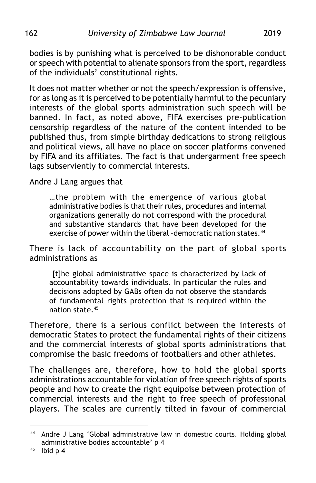bodies is by punishing what is perceived to be dishonorable conduct or speech with potential to alienate sponsors from the sport, regardless of the individuals' constitutional rights.

It does not matter whether or not the speech/expression is offensive, for as long as it is perceived to be potentially harmful to the pecuniary interests of the global sports administration such speech will be banned. In fact, as noted above, FIFA exercises pre-publication censorship regardless of the nature of the content intended to be published thus, from simple birthday dedications to strong religious and political views, all have no place on soccer platforms convened by FIFA and its affiliates. The fact is that undergarment free speech lags subserviently to commercial interests.

## Andre J Lang argues that

…the problem with the emergence of various global administrative bodies is that their rules, procedures and internal organizations generally do not correspond with the procedural and substantive standards that have been developed for the exercise of power within the liberal -democratic nation states.<sup>44</sup>

There is lack of accountability on the part of global sports administrations as

[t]he global administrative space is characterized by lack of accountability towards individuals. In particular the rules and decisions adopted by GABs often do not observe the standards of fundamental rights protection that is required within the nation state.45

Therefore, there is a serious conflict between the interests of democratic States to protect the fundamental rights of their citizens and the commercial interests of global sports administrations that compromise the basic freedoms of footballers and other athletes.

The challenges are, therefore, how to hold the global sports administrations accountable for violation of free speech rights of sports people and how to create the right equipoise between protection of commercial interests and the right to free speech of professional players. The scales are currently tilted in favour of commercial

<sup>44</sup> Andre J Lang 'Global administrative law in domestic courts. Holding global administrative bodies accountable' p 4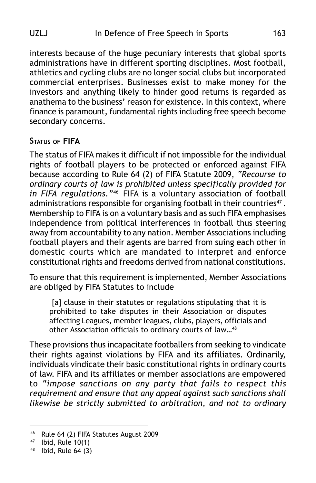interests because of the huge pecuniary interests that global sports administrations have in different sporting disciplines. Most football, athletics and cycling clubs are no longer social clubs but incorporated commercial enterprises. Businesses exist to make money for the investors and anything likely to hinder good returns is regarded as anathema to the business' reason for existence. In this context, where finance is paramount, fundamental rights including free speech become secondary concerns.

## **STATUS OF FIFA**

The status of FIFA makes it difficult if not impossible for the individual rights of football players to be protected or enforced against FIFA because according to Rule 64 (2) of FIFA Statute 2009, *"Recourse to ordinary courts of law is prohibited unless specifically provided for in FIFA regulations."*46 FIFA is a voluntary association of football administrations responsible for organising football in their countries<sup>47</sup>. Membership to FIFA is on a voluntary basis and as such FIFA emphasises independence from political interferences in football thus steering away from accountability to any nation. Member Associations including football players and their agents are barred from suing each other in domestic courts which are mandated to interpret and enforce constitutional rights and freedoms derived from national constitutions.

To ensure that this requirement is implemented, Member Associations are obliged by FIFA Statutes to include

[a] clause in their statutes or regulations stipulating that it is prohibited to take disputes in their Association or disputes affecting Leagues, member leagues, clubs, players, officials and other Association officials to ordinary courts of law…48

These provisions thus incapacitate footballers from seeking to vindicate their rights against violations by FIFA and its affiliates. Ordinarily, individuals vindicate their basic constitutional rights in ordinary courts of law. FIFA and its affiliates or member associations are empowered to *"impose sanctions on any party that fails to respect this requirement and ensure that any appeal against such sanctions shall likewise be strictly submitted to arbitration, and not to ordinary*

<sup>46</sup> Rule 64 (2) FIFA Statutes August 2009

 $47$  Ibid, Rule 10(1)

 $48$  Ibid, Rule 64 (3)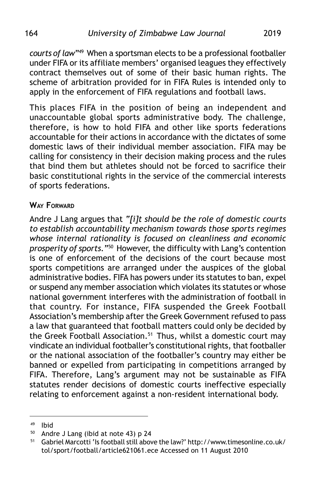*courts of law"*49 When a sportsman elects to be a professional footballer under FIFA or its affiliate members' organised leagues they effectively contract themselves out of some of their basic human rights. The scheme of arbitration provided for in FIFA Rules is intended only to apply in the enforcement of FIFA regulations and football laws.

This places FIFA in the position of being an independent and unaccountable global sports administrative body. The challenge, therefore, is how to hold FIFA and other like sports federations accountable for their actions in accordance with the dictates of some domestic laws of their individual member association. FIFA may be calling for consistency in their decision making process and the rules that bind them but athletes should not be forced to sacrifice their basic constitutional rights in the service of the commercial interests of sports federations.

## **WAY FORWARD**

Andre J Lang argues that *"[i]t should be the role of domestic courts to establish accountability mechanism towards those sports regimes whose internal rationality is focused on cleanliness and economic prosperity of sports."*50 However, the difficulty with Lang's contention is one of enforcement of the decisions of the court because most sports competitions are arranged under the auspices of the global administrative bodies. FIFA has powers under its statutes to ban, expel or suspend any member association which violates its statutes or whose national government interferes with the administration of football in that country. For instance, FIFA suspended the Greek Football Association's membership after the Greek Government refused to pass a law that guaranteed that football matters could only be decided by the Greek Football Association.<sup>51</sup> Thus, whilst a domestic court may vindicate an individual footballer's constitutional rights, that footballer or the national association of the footballer's country may either be banned or expelled from participating in competitions arranged by FIFA. Therefore, Lang's argument may not be sustainable as FIFA statutes render decisions of domestic courts ineffective especially relating to enforcement against a non-resident international body.

<sup>49</sup> Ibid

<sup>50</sup> Andre J Lang (ibid at note 43) p 24

<sup>51</sup> Gabriel Marcotti 'Is football still above the law?' http://www.timesonline.co.uk/ tol/sport/football/article621061.ece Accessed on 11 August 2010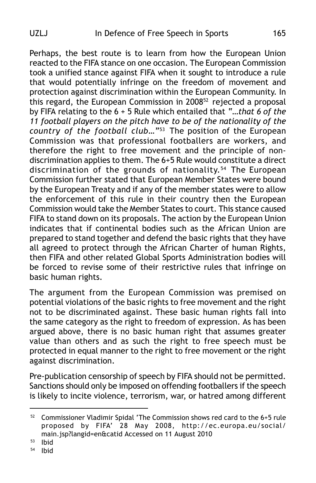Perhaps, the best route is to learn from how the European Union reacted to the FIFA stance on one occasion. The European Commission took a unified stance against FIFA when it sought to introduce a rule that would potentially infringe on the freedom of movement and protection against discrimination within the European Community. In this regard, the European Commission in 200852 rejected a proposal by FIFA relating to the 6 + 5 Rule which entailed that *"…that 6 of the 11 football players on the pitch have to be of the nationality of the country of the football club…"*53 The position of the European Commission was that professional footballers are workers, and therefore the right to free movement and the principle of nondiscrimination applies to them. The 6+5 Rule would constitute a direct discrimination of the grounds of nationality.<sup>54</sup> The European Commission further stated that European Member States were bound by the European Treaty and if any of the member states were to allow the enforcement of this rule in their country then the European Commission would take the Member States to court. This stance caused FIFA to stand down on its proposals. The action by the European Union indicates that if continental bodies such as the African Union are prepared to stand together and defend the basic rights that they have all agreed to protect through the African Charter of human Rights, then FIFA and other related Global Sports Administration bodies will be forced to revise some of their restrictive rules that infringe on basic human rights.

The argument from the European Commission was premised on potential violations of the basic rights to free movement and the right not to be discriminated against. These basic human rights fall into the same category as the right to freedom of expression. As has been argued above, there is no basic human right that assumes greater value than others and as such the right to free speech must be protected in equal manner to the right to free movement or the right against discrimination.

Pre-publication censorship of speech by FIFA should not be permitted. Sanctions should only be imposed on offending footballers if the speech is likely to incite violence, terrorism, war, or hatred among different

<sup>52</sup> Commissioner Vladimir Spidal 'The Commission shows red card to the 6+5 rule proposed by FIFA' 28 May 2008, http://ec.europa.eu/social/ main.jsp?langid=en&catid Accessed on 11 August 2010

<sup>53</sup> Ibid

<sup>54</sup> Ibid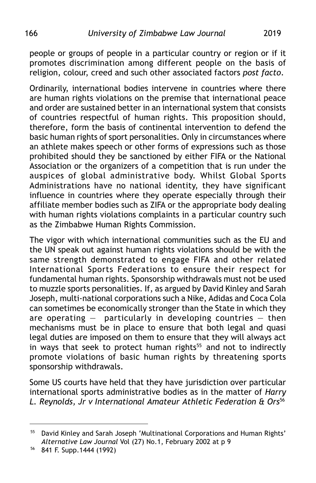people or groups of people in a particular country or region or if it promotes discrimination among different people on the basis of religion, colour, creed and such other associated factors *post facto*.

Ordinarily, international bodies intervene in countries where there are human rights violations on the premise that international peace and order are sustained better in an international system that consists of countries respectful of human rights. This proposition should, therefore, form the basis of continental intervention to defend the basic human rights of sport personalities. Only in circumstances where an athlete makes speech or other forms of expressions such as those prohibited should they be sanctioned by either FIFA or the National Association or the organizers of a competition that is run under the auspices of global administrative body. Whilst Global Sports Administrations have no national identity, they have significant influence in countries where they operate especially through their affiliate member bodies such as ZIFA or the appropriate body dealing with human rights violations complaints in a particular country such as the Zimbabwe Human Rights Commission.

The vigor with which international communities such as the EU and the UN speak out against human rights violations should be with the same strength demonstrated to engage FIFA and other related International Sports Federations to ensure their respect for fundamental human rights. Sponsorship withdrawals must not be used to muzzle sports personalities. If, as argued by David Kinley and Sarah Joseph, multi-national corporations such a Nike, Adidas and Coca Cola can sometimes be economically stronger than the State in which they are operating  $-$  particularly in developing countries  $-$  then mechanisms must be in place to ensure that both legal and quasi legal duties are imposed on them to ensure that they will always act in ways that seek to protect human rights<sup>55</sup> and not to indirectly promote violations of basic human rights by threatening sports sponsorship withdrawals.

Some US courts have held that they have jurisdiction over particular international sports administrative bodies as in the matter of *Harry L. Reynolds, Jr v International Amateur Athletic Federation & Ors*<sup>56</sup>

<sup>55</sup> David Kinley and Sarah Joseph 'Multinational Corporations and Human Rights' *Alternative Law Journal* Vol (27) No.1, February 2002 at p 9

<sup>56</sup> 841 F. Supp.1444 (1992)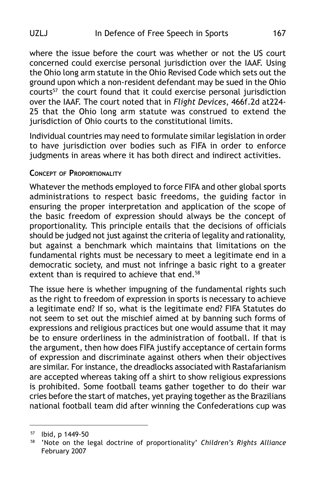## UZLJ In Defence of Free Speech in Sports 167

where the issue before the court was whether or not the US court concerned could exercise personal jurisdiction over the IAAF. Using the Ohio long arm statute in the Ohio Revised Code which sets out the ground upon which a non-resident defendant may be sued in the Ohio courts<sup>57</sup> the court found that it could exercise personal jurisdiction over the IAAF. The court noted that in *Flight Devices*, 466f.2d at224- 25 that the Ohio long arm statute was construed to extend the jurisdiction of Ohio courts to the constitutional limits.

Individual countries may need to formulate similar legislation in order to have jurisdiction over bodies such as FIFA in order to enforce judgments in areas where it has both direct and indirect activities.

### **CONCEPT OF PROPORTIONALITY**

Whatever the methods employed to force FIFA and other global sports administrations to respect basic freedoms, the guiding factor in ensuring the proper interpretation and application of the scope of the basic freedom of expression should always be the concept of proportionality. This principle entails that the decisions of officials should be judged not just against the criteria of legality and rationality, but against a benchmark which maintains that limitations on the fundamental rights must be necessary to meet a legitimate end in a democratic society, and must not infringe a basic right to a greater extent than is required to achieve that end.<sup>58</sup>

The issue here is whether impugning of the fundamental rights such as the right to freedom of expression in sports is necessary to achieve a legitimate end? If so, what is the legitimate end? FIFA Statutes do not seem to set out the mischief aimed at by banning such forms of expressions and religious practices but one would assume that it may be to ensure orderliness in the administration of football. If that is the argument, then how does FIFA justify acceptance of certain forms of expression and discriminate against others when their objectives are similar. For instance, the dreadlocks associated with Rastafarianism are accepted whereas taking off a shirt to show religious expressions is prohibited. Some football teams gather together to do their war cries before the start of matches, yet praying together as the Brazilians national football team did after winning the Confederations cup was

<sup>57</sup> Ibid, p 1449-50

<sup>58</sup> 'Note on the legal doctrine of proportionality' *Children's Rights Alliance* February 2007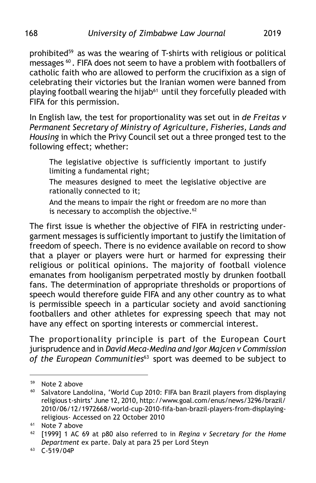prohibited<sup>59</sup> as was the wearing of T-shirts with religious or political messages 60 . FIFA does not seem to have a problem with footballers of catholic faith who are allowed to perform the crucifixion as a sign of celebrating their victories but the Iranian women were banned from playing football wearing the hijab<sup>61</sup> until they forcefully pleaded with FIFA for this permission.

In English law, the test for proportionality was set out in *de Freitas v Permanent Secretary of Ministry of Agriculture, Fisheries, Lands and Housing* in which the Privy Council set out a three pronged test to the following effect; whether:

The legislative objective is sufficiently important to justify limiting a fundamental right;

The measures designed to meet the legislative objective are rationally connected to it;

And the means to impair the right or freedom are no more than is necessary to accomplish the objective. $62$ 

The first issue is whether the objective of FIFA in restricting undergarment messages is sufficiently important to justify the limitation of freedom of speech. There is no evidence available on record to show that a player or players were hurt or harmed for expressing their religious or political opinions. The majority of football violence emanates from hooliganism perpetrated mostly by drunken football fans. The determination of appropriate thresholds or proportions of speech would therefore guide FIFA and any other country as to what is permissible speech in a particular society and avoid sanctioning footballers and other athletes for expressing speech that may not have any effect on sporting interests or commercial interest.

The proportionality principle is part of the European Court jurisprudence and in *David Meca-Medina and Igor Majcen v Commission of the European Communities*63 sport was deemed to be subject to

<sup>59</sup> Note 2 above

<sup>&</sup>lt;sup>60</sup> Salvatore Landolina, 'World Cup 2010: FIFA ban Brazil players from displaying religious t-shirts' June 12, 2010, http://www.goal.com/enus/news/3296/brazil/ 2010/06/12/1972668/world-cup-2010-fifa-ban-brazil-players-from-displayingreligious- Accessed on 22 October 2010

<sup>&</sup>lt;sup>61</sup> Note 7 above

<sup>62</sup> [1999] 1 AC 69 at p80 also referred to in *Regina v Secretary for the Home Department* ex parte. Daly at para 25 per Lord Steyn

<sup>63</sup> C-519/04P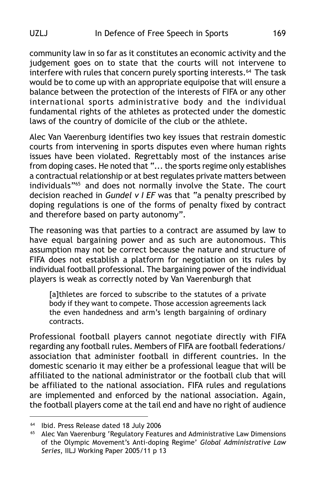community law in so far as it constitutes an economic activity and the judgement goes on to state that the courts will not intervene to interfere with rules that concern purely sporting interests.<sup>64</sup> The task would be to come up with an appropriate equipoise that will ensure a balance between the protection of the interests of FIFA or any other international sports administrative body and the individual fundamental rights of the athletes as protected under the domestic laws of the country of domicile of the club or the athlete.

Alec Van Vaerenburg identifies two key issues that restrain domestic courts from intervening in sports disputes even where human rights issues have been violated. Regrettably most of the instances arise from doping cases. He noted that "... the sports regime only establishes a contractual relationship or at best regulates private matters between individuals"<sup>65</sup> and does not normally involve the State. The court decision reached in *Gundel v I EF* was that "a penalty prescribed by doping regulations is one of the forms of penalty fixed by contract and therefore based on party autonomy".

The reasoning was that parties to a contract are assumed by law to have equal bargaining power and as such are autonomous. This assumption may not be correct because the nature and structure of FIFA does not establish a platform for negotiation on its rules by individual football professional. The bargaining power of the individual players is weak as correctly noted by Van Vaerenburgh that

[a]thletes are forced to subscribe to the statutes of a private body if they want to compete. Those accession agreements lack the even handedness and arm's length bargaining of ordinary contracts.

Professional football players cannot negotiate directly with FIFA regarding any football rules. Members of FIFA are football federations/ association that administer football in different countries. In the domestic scenario it may either be a professional league that will be affiliated to the national administrator or the football club that will be affiliated to the national association. FIFA rules and regulations are implemented and enforced by the national association. Again, the football players come at the tail end and have no right of audience

 $64$  Ibid. Press Release dated 18 July 2006<br> $65$  Alec Van Vaerenburg 'Regulatory Featu

<sup>65</sup> Alec Van Vaerenburg 'Regulatory Features and Administrative Law Dimensions of the Olympic Movement's Anti-doping Regime' *Global Administrative Law Series*, IILJ Working Paper 2005/11 p 13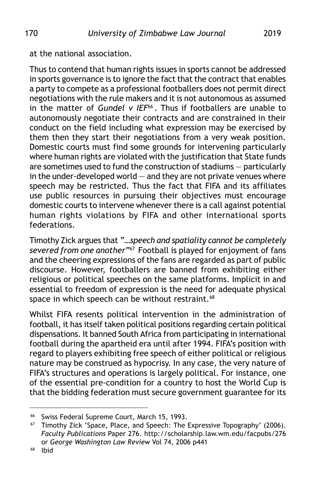at the national association.

Thus to contend that human rights issues in sports cannot be addressed in sports governance is to ignore the fact that the contract that enables a party to compete as a professional footballers does not permit direct negotiations with the rule makers and it is not autonomous as assumed in the matter of *Gundel v IEF<sup>66</sup>*. Thus if footballers are unable to autonomously negotiate their contracts and are constrained in their conduct on the field including what expression may be exercised by them then they start their negotiations from a very weak position. Domestic courts must find some grounds for intervening particularly where human rights are violated with the justification that State funds are sometimes used to fund the construction of stadiums — particularly in the under-developed world  $-$  and they are not private venues where speech may be restricted. Thus the fact that FIFA and its affiliates use public resources in pursuing their objectives must encourage domestic courts to intervene whenever there is a call against potential human rights violations by FIFA and other international sports federations.

Timothy Zick argues that *"…speech and spatiality cannot be completely severed from one another"*67 Football is played for enjoyment of fans and the cheering expressions of the fans are regarded as part of public discourse. However, footballers are banned from exhibiting either religious or political speeches on the same platforms. Implicit in and essential to freedom of expression is the need for adequate physical space in which speech can be without restraint.<sup>68</sup>

Whilst FIFA resents political intervention in the administration of football, it has itself taken political positions regarding certain political dispensations. It banned South Africa from participating in international football during the apartheid era until after 1994. FIFA's position with regard to players exhibiting free speech of either political or religious nature may be construed as hypocrisy. In any case, the very nature of FIFA's structures and operations is largely political. For instance, one of the essential pre-condition for a country to host the World Cup is that the bidding federation must secure government guarantee for its

<sup>66</sup> Swiss Federal Supreme Court, March 15, 1993.

<sup>&</sup>lt;sup>67</sup> Timothy Zick 'Space, Place, and Speech: The Expressive Topography' (2006). *Faculty Publications* Paper 276. http://scholarship.law.wm.edu/facpubs/276 or *George Washington Law Review* Vol 74, 2006 p441